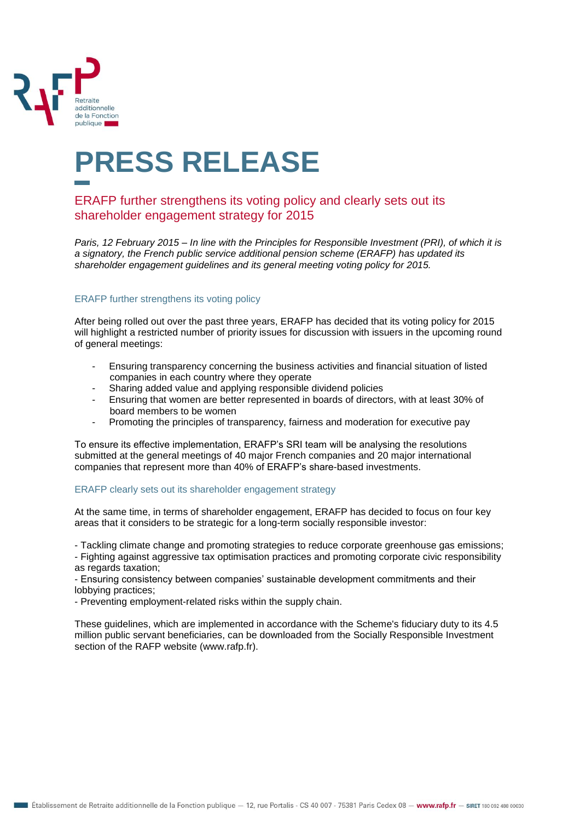

## **PRESS RELEASE**

## ERAFP further strengthens its voting policy and clearly sets out its shareholder engagement strategy for 2015

*Paris, 12 February 2015 – In line with the Principles for Responsible Investment (PRI), of which it is a signatory, the French public service additional pension scheme (ERAFP) has updated its shareholder engagement guidelines and its general meeting voting policy for 2015.* 

## ERAFP further strengthens its voting policy

After being rolled out over the past three years, ERAFP has decided that its voting policy for 2015 will highlight a restricted number of priority issues for discussion with issuers in the upcoming round of general meetings:

- Ensuring transparency concerning the business activities and financial situation of listed companies in each country where they operate
- Sharing added value and applying responsible dividend policies
- Ensuring that women are better represented in boards of directors, with at least 30% of board members to be women
- Promoting the principles of transparency, fairness and moderation for executive pay

To ensure its effective implementation, ERAFP's SRI team will be analysing the resolutions submitted at the general meetings of 40 major French companies and 20 major international companies that represent more than 40% of ERAFP's share-based investments.

## ERAFP clearly sets out its shareholder engagement strategy

At the same time, in terms of shareholder engagement, ERAFP has decided to focus on four key areas that it considers to be strategic for a long-term socially responsible investor:

- Tackling climate change and promoting strategies to reduce corporate greenhouse gas emissions;

- Fighting against aggressive tax optimisation practices and promoting corporate civic responsibility as regards taxation;

- Ensuring consistency between companies' sustainable development commitments and their lobbying practices;

- Preventing employment-related risks within the supply chain.

These guidelines, which are implemented in accordance with the Scheme's fiduciary duty to its 4.5 million public servant beneficiaries, can be downloaded from the Socially Responsible Investment section of the RAFP website (www.rafp.fr).